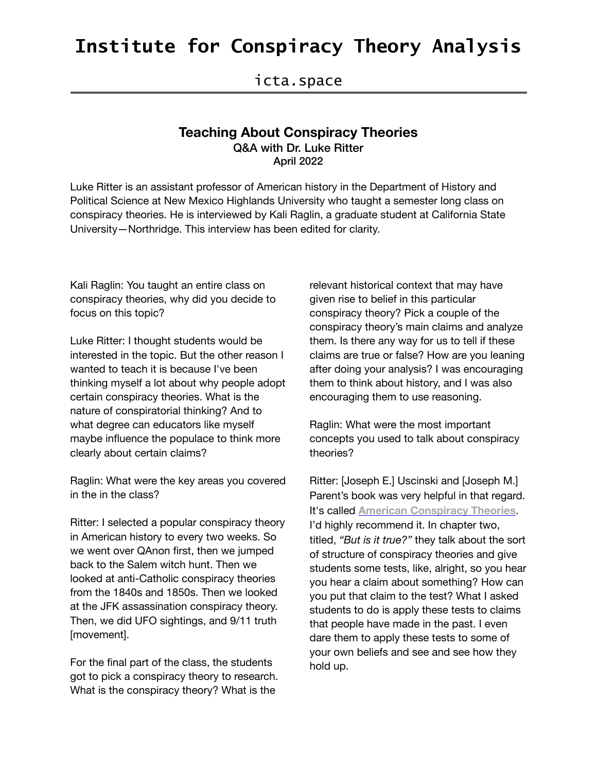### **Institute for Conspiracy Theory Analysis**

### icta.space

#### **Teaching About Conspiracy Theories**  Q&A with Dr. Luke Ritter April 2022

Luke Ritter is an assistant professor of American history in the Department of History and Political Science at New Mexico Highlands University who taught a semester long class on conspiracy theories. He is interviewed by Kali Raglin, a graduate student at California State University—Northridge. This interview has been edited for clarity.

Kali Raglin: You taught an entire class on conspiracy theories, why did you decide to focus on this topic?

Luke Ritter: I thought students would be interested in the topic. But the other reason I wanted to teach it is because I've been thinking myself a lot about why people adopt certain conspiracy theories. What is the nature of conspiratorial thinking? And to what degree can educators like myself maybe influence the populace to think more clearly about certain claims?

Raglin: What were the key areas you covered in the in the class?

Ritter: I selected a popular conspiracy theory in American history to every two weeks. So we went over QAnon first, then we jumped back to the Salem witch hunt. Then we looked at anti-Catholic conspiracy theories from the 1840s and 1850s. Then we looked at the JFK assassination conspiracy theory. Then, we did UFO sightings, and 9/11 truth [movement].

For the final part of the class, the students got to pick a conspiracy theory to research. What is the conspiracy theory? What is the

relevant historical context that may have given rise to belief in this particular conspiracy theory? Pick a couple of the conspiracy theory's main claims and analyze them. Is there any way for us to tell if these claims are true or false? How are you leaning after doing your analysis? I was encouraging them to think about history, and I was also encouraging them to use reasoning.

Raglin: What were the most important concepts you used to talk about conspiracy theories?

Ritter: [Joseph E.] Uscinski and [Joseph M.] Parent's book was very helpful in that regard. It's called **[American Conspiracy Theories](https://blogs.lse.ac.uk/lsereviewofbooks/2015/02/25/book-review-american-conspiracy-theories-by-joseph-e-uscinski-and-joseph-m-parent/)**. I'd highly recommend it. In chapter two, titled, *"But is it true?"* they talk about the sort of structure of conspiracy theories and give students some tests, like, alright, so you hear you hear a claim about something? How can you put that claim to the test? What I asked students to do is apply these tests to claims that people have made in the past. I even dare them to apply these tests to some of your own beliefs and see and see how they hold up.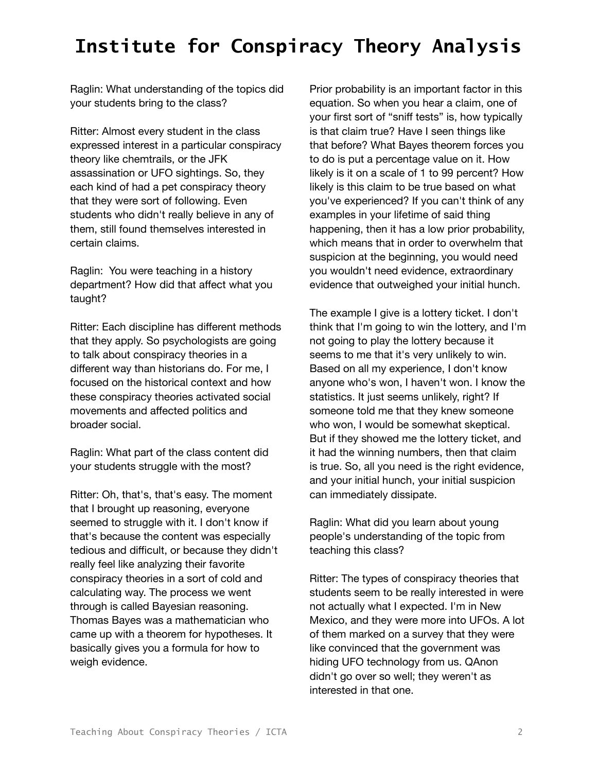# **Institute for Conspiracy Theory Analysis**

Raglin: What understanding of the topics did your students bring to the class?

Ritter: Almost every student in the class expressed interest in a particular conspiracy theory like chemtrails, or the JFK assassination or UFO sightings. So, they each kind of had a pet conspiracy theory that they were sort of following. Even students who didn't really believe in any of them, still found themselves interested in certain claims.

Raglin: You were teaching in a history department? How did that affect what you taught?

Ritter: Each discipline has different methods that they apply. So psychologists are going to talk about conspiracy theories in a different way than historians do. For me, I focused on the historical context and how these conspiracy theories activated social movements and affected politics and broader social.

Raglin: What part of the class content did your students struggle with the most?

Ritter: Oh, that's, that's easy. The moment that I brought up reasoning, everyone seemed to struggle with it. I don't know if that's because the content was especially tedious and difficult, or because they didn't really feel like analyzing their favorite conspiracy theories in a sort of cold and calculating way. The process we went through is called Bayesian reasoning. Thomas Bayes was a mathematician who came up with a theorem for hypotheses. It basically gives you a formula for how to weigh evidence.

Prior probability is an important factor in this equation. So when you hear a claim, one of your first sort of "sniff tests" is, how typically is that claim true? Have I seen things like that before? What Bayes theorem forces you to do is put a percentage value on it. How likely is it on a scale of 1 to 99 percent? How likely is this claim to be true based on what you've experienced? If you can't think of any examples in your lifetime of said thing happening, then it has a low prior probability, which means that in order to overwhelm that suspicion at the beginning, you would need you wouldn't need evidence, extraordinary evidence that outweighed your initial hunch.

The example I give is a lottery ticket. I don't think that I'm going to win the lottery, and I'm not going to play the lottery because it seems to me that it's very unlikely to win. Based on all my experience, I don't know anyone who's won, I haven't won. I know the statistics. It just seems unlikely, right? If someone told me that they knew someone who won, I would be somewhat skeptical. But if they showed me the lottery ticket, and it had the winning numbers, then that claim is true. So, all you need is the right evidence, and your initial hunch, your initial suspicion can immediately dissipate.

Raglin: What did you learn about young people's understanding of the topic from teaching this class?

Ritter: The types of conspiracy theories that students seem to be really interested in were not actually what I expected. I'm in New Mexico, and they were more into UFOs. A lot of them marked on a survey that they were like convinced that the government was hiding UFO technology from us. QAnon didn't go over so well; they weren't as interested in that one.